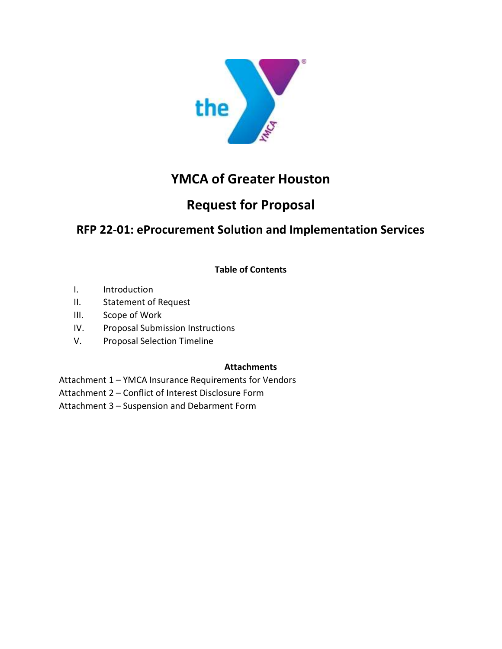

## YMCA of Greater Houston

# Request for Proposal

## RFP 22-01: eProcurement Solution and Implementation Services

Table of Contents

- I. Introduction
- II. Statement of Request
- III. Scope of Work
- IV. Proposal Submission Instructions
- V. Proposal Selection Timeline

### **Attachments**

Attachment 1 – YMCA Insurance Requirements for Vendors

Attachment 2 – Conflict of Interest Disclosure Form

Attachment 3 – Suspension and Debarment Form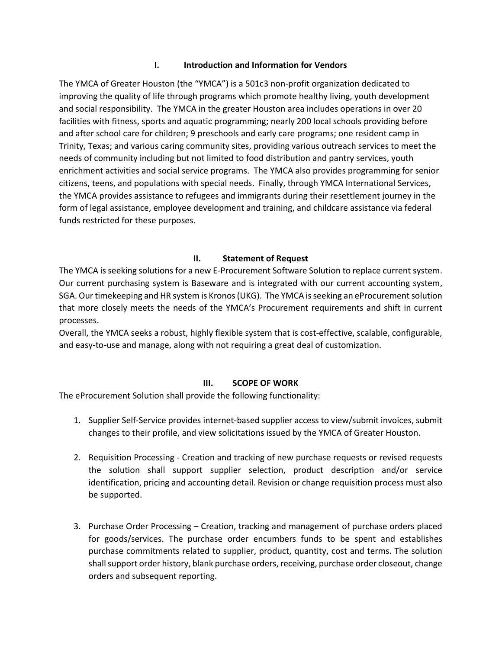#### I. Introduction and Information for Vendors

The YMCA of Greater Houston (the "YMCA") is a 501c3 non-profit organization dedicated to improving the quality of life through programs which promote healthy living, youth development and social responsibility. The YMCA in the greater Houston area includes operations in over 20 facilities with fitness, sports and aquatic programming; nearly 200 local schools providing before and after school care for children; 9 preschools and early care programs; one resident camp in Trinity, Texas; and various caring community sites, providing various outreach services to meet the needs of community including but not limited to food distribution and pantry services, youth enrichment activities and social service programs. The YMCA also provides programming for senior citizens, teens, and populations with special needs. Finally, through YMCA International Services, the YMCA provides assistance to refugees and immigrants during their resettlement journey in the form of legal assistance, employee development and training, and childcare assistance via federal funds restricted for these purposes.

#### II. Statement of Request

The YMCA is seeking solutions for a new E-Procurement Software Solution to replace current system. Our current purchasing system is Baseware and is integrated with our current accounting system, SGA. Our timekeeping and HR system is Kronos (UKG). The YMCA is seeking an eProcurement solution that more closely meets the needs of the YMCA's Procurement requirements and shift in current processes.

Overall, the YMCA seeks a robust, highly flexible system that is cost-effective, scalable, configurable, and easy-to-use and manage, along with not requiring a great deal of customization.

#### III. SCOPE OF WORK

The eProcurement Solution shall provide the following functionality:

- 1. Supplier Self-Service provides internet-based supplier access to view/submit invoices, submit changes to their profile, and view solicitations issued by the YMCA of Greater Houston.
- 2. Requisition Processing Creation and tracking of new purchase requests or revised requests the solution shall support supplier selection, product description and/or service identification, pricing and accounting detail. Revision or change requisition process must also be supported.
- 3. Purchase Order Processing Creation, tracking and management of purchase orders placed for goods/services. The purchase order encumbers funds to be spent and establishes purchase commitments related to supplier, product, quantity, cost and terms. The solution shall support order history, blank purchase orders, receiving, purchase order closeout, change orders and subsequent reporting.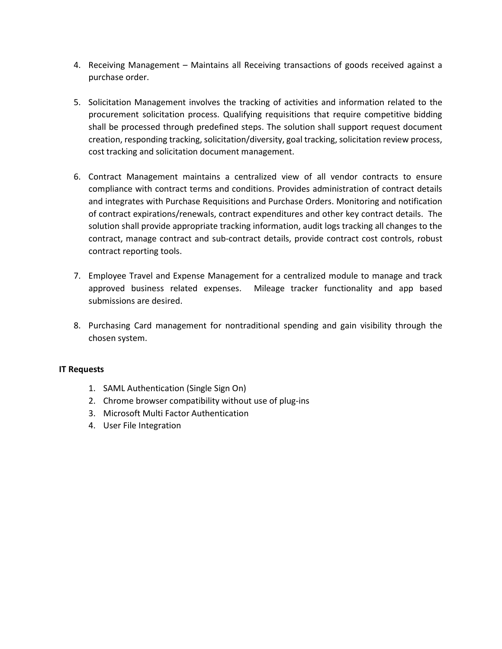- 4. Receiving Management Maintains all Receiving transactions of goods received against a purchase order.
- 5. Solicitation Management involves the tracking of activities and information related to the procurement solicitation process. Qualifying requisitions that require competitive bidding shall be processed through predefined steps. The solution shall support request document creation, responding tracking, solicitation/diversity, goal tracking, solicitation review process, cost tracking and solicitation document management.
- 6. Contract Management maintains a centralized view of all vendor contracts to ensure compliance with contract terms and conditions. Provides administration of contract details and integrates with Purchase Requisitions and Purchase Orders. Monitoring and notification of contract expirations/renewals, contract expenditures and other key contract details. The solution shall provide appropriate tracking information, audit logs tracking all changes to the contract, manage contract and sub-contract details, provide contract cost controls, robust contract reporting tools.
- 7. Employee Travel and Expense Management for a centralized module to manage and track approved business related expenses. Mileage tracker functionality and app based submissions are desired.
- 8. Purchasing Card management for nontraditional spending and gain visibility through the chosen system.

#### IT Requests

- 1. SAML Authentication (Single Sign On)
- 2. Chrome browser compatibility without use of plug-ins
- 3. Microsoft Multi Factor Authentication
- 4. User File Integration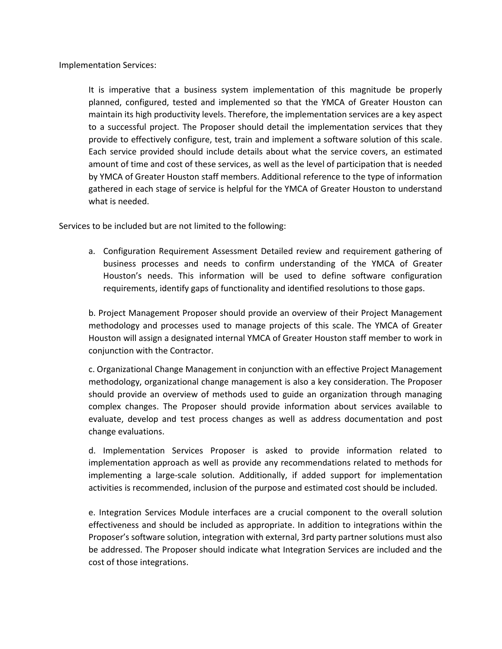Implementation Services:

It is imperative that a business system implementation of this magnitude be properly planned, configured, tested and implemented so that the YMCA of Greater Houston can maintain its high productivity levels. Therefore, the implementation services are a key aspect to a successful project. The Proposer should detail the implementation services that they provide to effectively configure, test, train and implement a software solution of this scale. Each service provided should include details about what the service covers, an estimated amount of time and cost of these services, as well as the level of participation that is needed by YMCA of Greater Houston staff members. Additional reference to the type of information gathered in each stage of service is helpful for the YMCA of Greater Houston to understand what is needed.

Services to be included but are not limited to the following:

a. Configuration Requirement Assessment Detailed review and requirement gathering of business processes and needs to confirm understanding of the YMCA of Greater Houston's needs. This information will be used to define software configuration requirements, identify gaps of functionality and identified resolutions to those gaps.

b. Project Management Proposer should provide an overview of their Project Management methodology and processes used to manage projects of this scale. The YMCA of Greater Houston will assign a designated internal YMCA of Greater Houston staff member to work in conjunction with the Contractor.

c. Organizational Change Management in conjunction with an effective Project Management methodology, organizational change management is also a key consideration. The Proposer should provide an overview of methods used to guide an organization through managing complex changes. The Proposer should provide information about services available to evaluate, develop and test process changes as well as address documentation and post change evaluations.

d. Implementation Services Proposer is asked to provide information related to implementation approach as well as provide any recommendations related to methods for implementing a large-scale solution. Additionally, if added support for implementation activities is recommended, inclusion of the purpose and estimated cost should be included.

e. Integration Services Module interfaces are a crucial component to the overall solution effectiveness and should be included as appropriate. In addition to integrations within the Proposer's software solution, integration with external, 3rd party partner solutions must also be addressed. The Proposer should indicate what Integration Services are included and the cost of those integrations.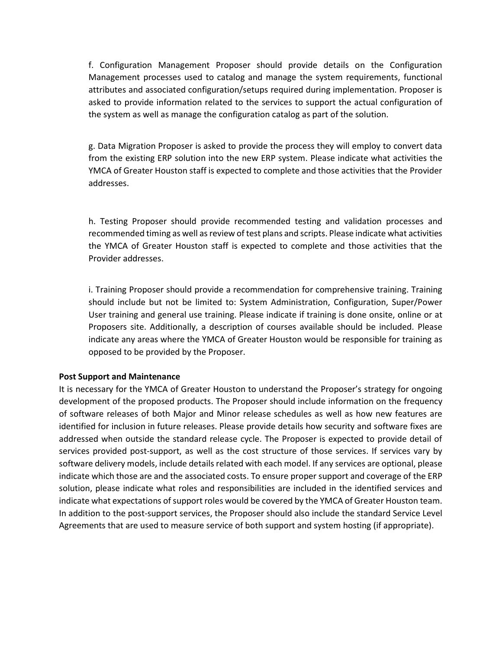f. Configuration Management Proposer should provide details on the Configuration Management processes used to catalog and manage the system requirements, functional attributes and associated configuration/setups required during implementation. Proposer is asked to provide information related to the services to support the actual configuration of the system as well as manage the configuration catalog as part of the solution.

g. Data Migration Proposer is asked to provide the process they will employ to convert data from the existing ERP solution into the new ERP system. Please indicate what activities the YMCA of Greater Houston staff is expected to complete and those activities that the Provider addresses.

h. Testing Proposer should provide recommended testing and validation processes and recommended timing as well as review of test plans and scripts. Please indicate what activities the YMCA of Greater Houston staff is expected to complete and those activities that the Provider addresses.

i. Training Proposer should provide a recommendation for comprehensive training. Training should include but not be limited to: System Administration, Configuration, Super/Power User training and general use training. Please indicate if training is done onsite, online or at Proposers site. Additionally, a description of courses available should be included. Please indicate any areas where the YMCA of Greater Houston would be responsible for training as opposed to be provided by the Proposer.

#### Post Support and Maintenance

It is necessary for the YMCA of Greater Houston to understand the Proposer's strategy for ongoing development of the proposed products. The Proposer should include information on the frequency of software releases of both Major and Minor release schedules as well as how new features are identified for inclusion in future releases. Please provide details how security and software fixes are addressed when outside the standard release cycle. The Proposer is expected to provide detail of services provided post-support, as well as the cost structure of those services. If services vary by software delivery models, include details related with each model. If any services are optional, please indicate which those are and the associated costs. To ensure proper support and coverage of the ERP solution, please indicate what roles and responsibilities are included in the identified services and indicate what expectations of support roles would be covered by the YMCA of Greater Houston team. In addition to the post-support services, the Proposer should also include the standard Service Level Agreements that are used to measure service of both support and system hosting (if appropriate).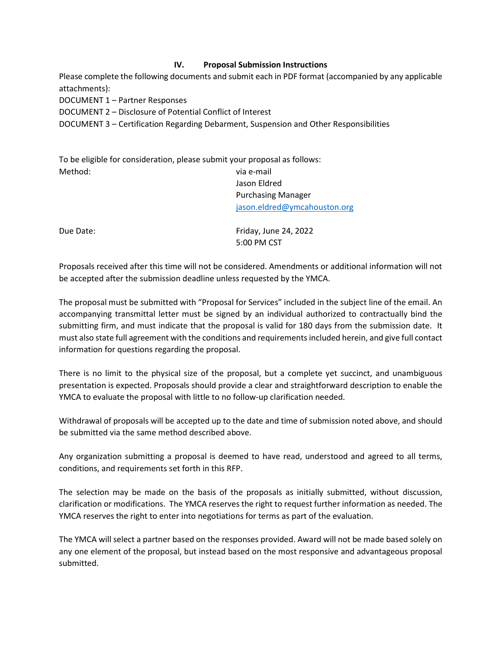#### IV. Proposal Submission Instructions

Please complete the following documents and submit each in PDF format (accompanied by any applicable attachments):

DOCUMENT 1 – Partner Responses

DOCUMENT 2 – Disclosure of Potential Conflict of Interest

DOCUMENT 3 – Certification Regarding Debarment, Suspension and Other Responsibilities

|         | To be eligible for consideration, please submit your proposal as follows: |
|---------|---------------------------------------------------------------------------|
| Method: | via e-mail                                                                |
|         | Jason Eldred                                                              |
|         | <b>Purchasing Manager</b>                                                 |
|         | jason.eldred@ymcahouston.org                                              |

Due Date: The Date: The Date: The Date: The Date: The Date: The Date: The Date: The Date: The Date: The Date: The Date: The Date: The Date: The Date: The Date: The Date: The Date: The Date: The Date: The Date: The Date: Th 5:00 PM CST

Proposals received after this time will not be considered. Amendments or additional information will not be accepted after the submission deadline unless requested by the YMCA.

The proposal must be submitted with "Proposal for Services" included in the subject line of the email. An accompanying transmittal letter must be signed by an individual authorized to contractually bind the submitting firm, and must indicate that the proposal is valid for 180 days from the submission date. It must also state full agreement with the conditions and requirements included herein, and give full contact information for questions regarding the proposal.

There is no limit to the physical size of the proposal, but a complete yet succinct, and unambiguous presentation is expected. Proposals should provide a clear and straightforward description to enable the YMCA to evaluate the proposal with little to no follow-up clarification needed.

Withdrawal of proposals will be accepted up to the date and time of submission noted above, and should be submitted via the same method described above.

Any organization submitting a proposal is deemed to have read, understood and agreed to all terms, conditions, and requirements set forth in this RFP.

The selection may be made on the basis of the proposals as initially submitted, without discussion, clarification or modifications. The YMCA reserves the right to request further information as needed. The YMCA reserves the right to enter into negotiations for terms as part of the evaluation.

The YMCA will select a partner based on the responses provided. Award will not be made based solely on any one element of the proposal, but instead based on the most responsive and advantageous proposal submitted.